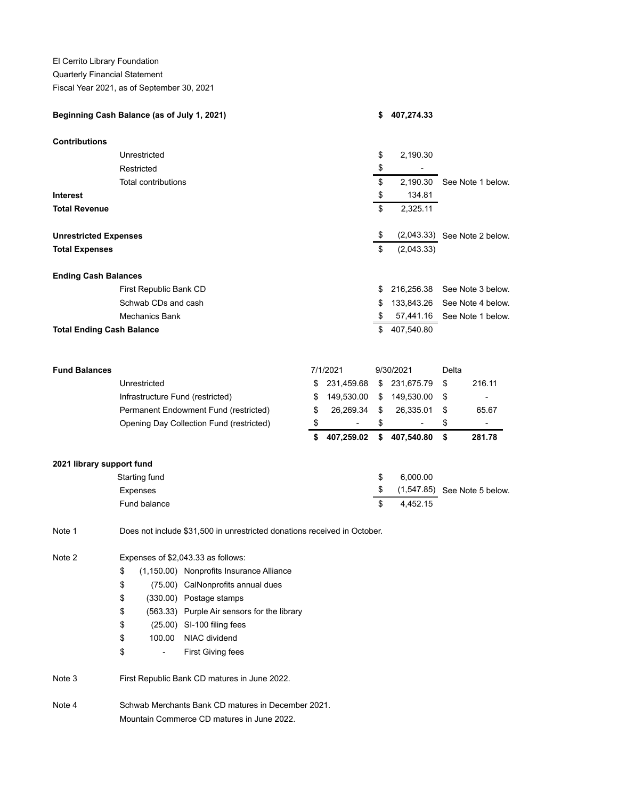El Cerrito Library Foundation

## Quarterly Financial Statement

Fiscal Year 2021, as of September 30, 2021

| Beginning Cash Balance (as of July 1, 2021) |                                                                                   |                                             |    |                | S.        | 407,274.33                   |                              |                                |
|---------------------------------------------|-----------------------------------------------------------------------------------|---------------------------------------------|----|----------------|-----------|------------------------------|------------------------------|--------------------------------|
| <b>Contributions</b>                        |                                                                                   |                                             |    |                |           |                              |                              |                                |
|                                             | Unrestricted                                                                      |                                             |    |                | \$        | 2,190.30                     |                              |                                |
|                                             | Restricted                                                                        |                                             |    |                | \$        | $\overline{a}$               |                              |                                |
|                                             | Total contributions                                                               |                                             |    |                | \$        |                              | 2,190.30 See Note 1 below.   |                                |
| <b>Interest</b>                             |                                                                                   |                                             |    |                | \$        | 134.81                       |                              |                                |
| <b>Total Revenue</b>                        |                                                                                   |                                             |    |                | \$        | 2,325.11                     |                              |                                |
| <b>Unrestricted Expenses</b>                |                                                                                   |                                             |    |                | \$        |                              |                              | $(2,043.33)$ See Note 2 below. |
| <b>Total Expenses</b>                       |                                                                                   |                                             | \$ | (2,043.33)     |           |                              |                              |                                |
| <b>Ending Cash Balances</b>                 |                                                                                   |                                             |    |                |           |                              |                              |                                |
|                                             | First Republic Bank CD                                                            |                                             |    |                | \$        |                              | 216,256.38 See Note 3 below. |                                |
|                                             | Schwab CDs and cash                                                               |                                             |    |                | \$        |                              | 133,843.26 See Note 4 below. |                                |
| <b>Mechanics Bank</b>                       |                                                                                   |                                             |    |                | \$        | 57,441.16                    |                              | See Note 1 below.              |
| <b>Total Ending Cash Balance</b>            |                                                                                   |                                             |    |                | \$        | 407,540.80                   |                              |                                |
| <b>Fund Balances</b>                        |                                                                                   |                                             |    | 7/1/2021       | 9/30/2021 |                              | Delta                        |                                |
|                                             | Unrestricted                                                                      |                                             | \$ | 231,459.68     |           | \$ 231,675.79                | \$                           | 216.11                         |
|                                             | Infrastructure Fund (restricted)                                                  |                                             | \$ | 149,530.00     |           | \$149,530.00                 | \$                           |                                |
|                                             | Permanent Endowment Fund (restricted)<br>Opening Day Collection Fund (restricted) |                                             |    | 26,269.34      | \$        | 26,335.01                    | \$                           | 65.67                          |
|                                             |                                                                                   |                                             |    | $\overline{a}$ | \$        | $\qquad \qquad \blacksquare$ | \$                           |                                |
|                                             |                                                                                   |                                             | \$ | 407,259.02     | \$        | 407,540.80                   | \$                           | 281.78                         |
| 2021 library support fund                   |                                                                                   |                                             |    |                |           |                              |                              |                                |
|                                             | Starting fund<br>Expenses                                                         |                                             |    |                | \$        | 6,000.00                     |                              |                                |
|                                             |                                                                                   |                                             |    |                | \$        |                              | (1,547.85) See Note 5 below. |                                |
|                                             | Fund balance                                                                      |                                             |    |                | \$        | 4.452.15                     |                              |                                |
| Note 1                                      | Does not include \$31,500 in unrestricted donations received in October.          |                                             |    |                |           |                              |                              |                                |
| Note 2                                      | Expenses of \$2,043.33 as follows:                                                |                                             |    |                |           |                              |                              |                                |
|                                             | \$                                                                                | (1,150.00) Nonprofits Insurance Alliance    |    |                |           |                              |                              |                                |
|                                             | \$                                                                                | (75.00) CalNonprofits annual dues           |    |                |           |                              |                              |                                |
|                                             | \$                                                                                | (330.00) Postage stamps                     |    |                |           |                              |                              |                                |
|                                             | \$                                                                                | (563.33) Purple Air sensors for the library |    |                |           |                              |                              |                                |
|                                             | \$                                                                                | (25.00) SI-100 filing fees                  |    |                |           |                              |                              |                                |
|                                             | 100.00<br>\$                                                                      | NIAC dividend                               |    |                |           |                              |                              |                                |
|                                             | \$<br>$\overline{\phantom{0}}$                                                    | <b>First Giving fees</b>                    |    |                |           |                              |                              |                                |

Note 3 First Republic Bank CD matures in June 2022.

Note 4 Schwab Merchants Bank CD matures in December 2021. Mountain Commerce CD matures in June 2022.